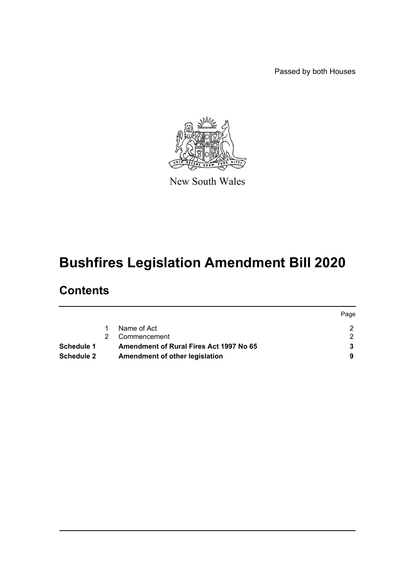Passed by both Houses



New South Wales

# **Bushfires Legislation Amendment Bill 2020**

# **Contents**

|                   |                                         | Page |
|-------------------|-----------------------------------------|------|
|                   | Name of Act                             |      |
|                   | Commencement                            |      |
| Schedule 1        | Amendment of Rural Fires Act 1997 No 65 |      |
| <b>Schedule 2</b> | Amendment of other legislation          |      |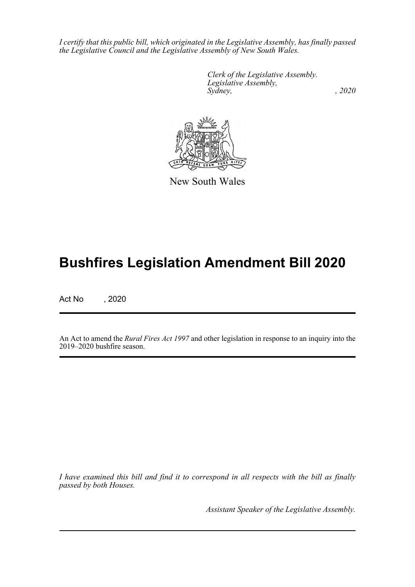*I certify that this public bill, which originated in the Legislative Assembly, has finally passed the Legislative Council and the Legislative Assembly of New South Wales.*

> *Clerk of the Legislative Assembly. Legislative Assembly, Sydney, , 2020*



New South Wales

# **Bushfires Legislation Amendment Bill 2020**

Act No , 2020

An Act to amend the *Rural Fires Act 1997* and other legislation in response to an inquiry into the 2019–2020 bushfire season.

*I have examined this bill and find it to correspond in all respects with the bill as finally passed by both Houses.*

*Assistant Speaker of the Legislative Assembly.*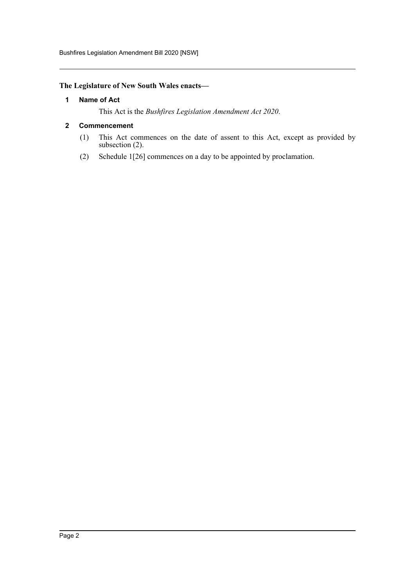#### <span id="page-2-0"></span>**The Legislature of New South Wales enacts—**

#### **1 Name of Act**

This Act is the *Bushfires Legislation Amendment Act 2020*.

#### <span id="page-2-1"></span>**2 Commencement**

- (1) This Act commences on the date of assent to this Act, except as provided by subsection (2).
- (2) Schedule 1[26] commences on a day to be appointed by proclamation.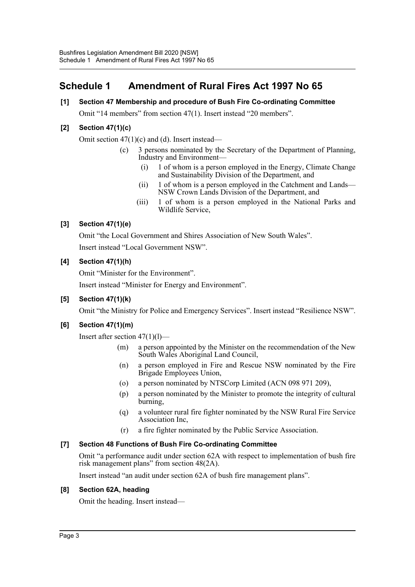# <span id="page-3-0"></span>**Schedule 1 Amendment of Rural Fires Act 1997 No 65**

### **[1] Section 47 Membership and procedure of Bush Fire Co-ordinating Committee**

Omit "14 members" from section 47(1). Insert instead "20 members".

#### **[2] Section 47(1)(c)**

Omit section  $47(1)(c)$  and (d). Insert instead—

- (c) 3 persons nominated by the Secretary of the Department of Planning, Industry and Environment—
	- (i) 1 of whom is a person employed in the Energy, Climate Change and Sustainability Division of the Department, and
	- (ii) 1 of whom is a person employed in the Catchment and Lands— NSW Crown Lands Division of the Department, and
	- (iii) 1 of whom is a person employed in the National Parks and Wildlife Service,

#### **[3] Section 47(1)(e)**

Omit "the Local Government and Shires Association of New South Wales". Insert instead "Local Government NSW".

#### **[4] Section 47(1)(h)**

Omit "Minister for the Environment".

Insert instead "Minister for Energy and Environment".

#### **[5] Section 47(1)(k)**

Omit "the Ministry for Police and Emergency Services". Insert instead "Resilience NSW".

#### **[6] Section 47(1)(m)**

Insert after section  $47(1)(1)$ —

- (m) a person appointed by the Minister on the recommendation of the New South Wales Aboriginal Land Council,
- (n) a person employed in Fire and Rescue NSW nominated by the Fire Brigade Employees Union,
- (o) a person nominated by NTSCorp Limited (ACN 098 971 209),
- (p) a person nominated by the Minister to promote the integrity of cultural burning,
- (q) a volunteer rural fire fighter nominated by the NSW Rural Fire Service Association Inc,
- (r) a fire fighter nominated by the Public Service Association.

#### **[7] Section 48 Functions of Bush Fire Co-ordinating Committee**

Omit "a performance audit under section 62A with respect to implementation of bush fire risk management plans" from section 48(2A).

Insert instead "an audit under section 62A of bush fire management plans".

#### **[8] Section 62A, heading**

Omit the heading. Insert instead—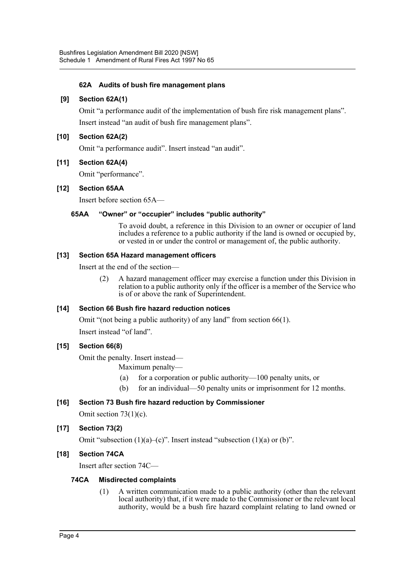#### **62A Audits of bush fire management plans**

#### **[9] Section 62A(1)**

Omit "a performance audit of the implementation of bush fire risk management plans". Insert instead "an audit of bush fire management plans".

#### **[10] Section 62A(2)**

Omit "a performance audit". Insert instead "an audit".

#### **[11] Section 62A(4)**

Omit "performance".

#### **[12] Section 65AA**

Insert before section 65A—

#### **65AA "Owner" or "occupier" includes "public authority"**

To avoid doubt, a reference in this Division to an owner or occupier of land includes a reference to a public authority if the land is owned or occupied by, or vested in or under the control or management of, the public authority.

#### **[13] Section 65A Hazard management officers**

Insert at the end of the section—

(2) A hazard management officer may exercise a function under this Division in relation to a public authority only if the officer is a member of the Service who is of or above the rank of Superintendent.

#### **[14] Section 66 Bush fire hazard reduction notices**

Omit "(not being a public authority) of any land" from section 66(1). Insert instead "of land".

#### **[15] Section 66(8)**

Omit the penalty. Insert instead—

Maximum penalty—

- (a) for a corporation or public authority—100 penalty units, or
- (b) for an individual—50 penalty units or imprisonment for 12 months.

#### **[16] Section 73 Bush fire hazard reduction by Commissioner**

Omit section 73(1)(c).

#### **[17] Section 73(2)**

Omit "subsection  $(1)(a)$ – $(c)$ ". Insert instead "subsection  $(1)(a)$  or  $(b)$ ".

#### **[18] Section 74CA**

Insert after section 74C—

#### **74CA Misdirected complaints**

(1) A written communication made to a public authority (other than the relevant local authority) that, if it were made to the Commissioner or the relevant local authority, would be a bush fire hazard complaint relating to land owned or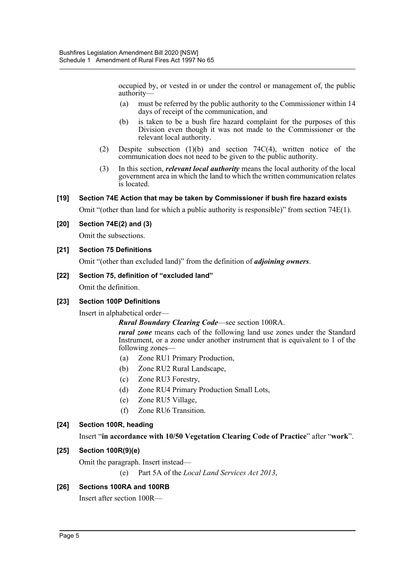occupied by, or vested in or under the control or management of, the public authority—

- (a) must be referred by the public authority to the Commissioner within 14 days of receipt of the communication, and
- (b) is taken to be a bush fire hazard complaint for the purposes of this Division even though it was not made to the Commissioner or the relevant local authority.
- (2) Despite subsection (1)(b) and section 74C(4), written notice of the communication does not need to be given to the public authority.
- (3) In this section, *relevant local authority* means the local authority of the local government area in which the land to which the written communication relates is located.

#### **[19] Section 74E Action that may be taken by Commissioner if bush fire hazard exists**

Omit "(other than land for which a public authority is responsible)" from section 74E(1).

#### **[20] Section 74E(2) and (3)**

Omit the subsections.

#### **[21] Section 75 Definitions**

Omit "(other than excluded land)" from the definition of *adjoining owners*.

#### **[22] Section 75, definition of "excluded land"**

Omit the definition.

#### **[23] Section 100P Definitions**

Insert in alphabetical order—

*Rural Boundary Clearing Code*—see section 100RA.

*rural zone* means each of the following land use zones under the Standard Instrument, or a zone under another instrument that is equivalent to 1 of the following zones—

- (a) Zone RU1 Primary Production,
- (b) Zone RU2 Rural Landscape,
- (c) Zone RU3 Forestry,
- (d) Zone RU4 Primary Production Small Lots,
- (e) Zone RU5 Village,
- (f) Zone RU6 Transition.

#### **[24] Section 100R, heading**

#### Insert "**in accordance with 10/50 Vegetation Clearing Code of Practice**" after "**work**".

#### **[25] Section 100R(9)(e)**

Omit the paragraph. Insert instead—

(e) Part 5A of the *Local Land Services Act 2013*,

#### **[26] Sections 100RA and 100RB**

Insert after section 100R—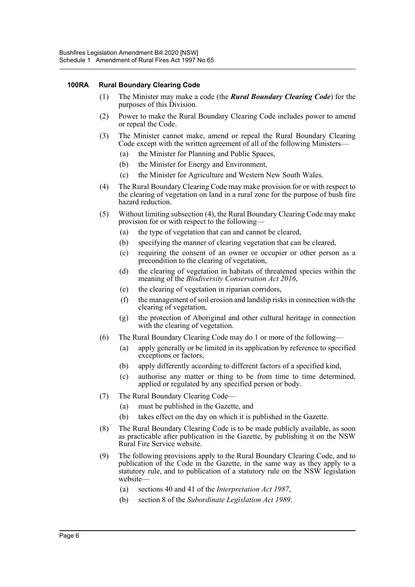#### **100RA Rural Boundary Clearing Code**

- (1) The Minister may make a code (the *Rural Boundary Clearing Code*) for the purposes of this Division.
- (2) Power to make the Rural Boundary Clearing Code includes power to amend or repeal the Code.
- (3) The Minister cannot make, amend or repeal the Rural Boundary Clearing Code except with the written agreement of all of the following Ministers—
	- (a) the Minister for Planning and Public Spaces,
	- (b) the Minister for Energy and Environment,
	- (c) the Minister for Agriculture and Western New South Wales.
- (4) The Rural Boundary Clearing Code may make provision for or with respect to the clearing of vegetation on land in a rural zone for the purpose of bush fire hazard reduction.
- (5) Without limiting subsection (4), the Rural Boundary Clearing Code may make provision for or with respect to the following—
	- (a) the type of vegetation that can and cannot be cleared,
	- (b) specifying the manner of clearing vegetation that can be cleared,
	- (c) requiring the consent of an owner or occupier or other person as a precondition to the clearing of vegetation,
	- (d) the clearing of vegetation in habitats of threatened species within the meaning of the *Biodiversity Conservation Act 2016*,
	- (e) the clearing of vegetation in riparian corridors,
	- (f) the management of soil erosion and landslip risks in connection with the clearing of vegetation,
	- (g) the protection of Aboriginal and other cultural heritage in connection with the clearing of vegetation.
- (6) The Rural Boundary Clearing Code may do 1 or more of the following—
	- (a) apply generally or be limited in its application by reference to specified exceptions or factors,
	- (b) apply differently according to different factors of a specified kind,
	- (c) authorise any matter or thing to be from time to time determined, applied or regulated by any specified person or body.
- (7) The Rural Boundary Clearing Code—
	- (a) must be published in the Gazette, and
	- (b) takes effect on the day on which it is published in the Gazette.
- (8) The Rural Boundary Clearing Code is to be made publicly available, as soon as practicable after publication in the Gazette, by publishing it on the NSW Rural Fire Service website.
- (9) The following provisions apply to the Rural Boundary Clearing Code, and to publication of the Code in the Gazette, in the same way as they apply to a statutory rule, and to publication of a statutory rule on the NSW legislation website—
	- (a) sections 40 and 41 of the *Interpretation Act 1987*,
	- (b) section 8 of the *Subordinate Legislation Act 1989*.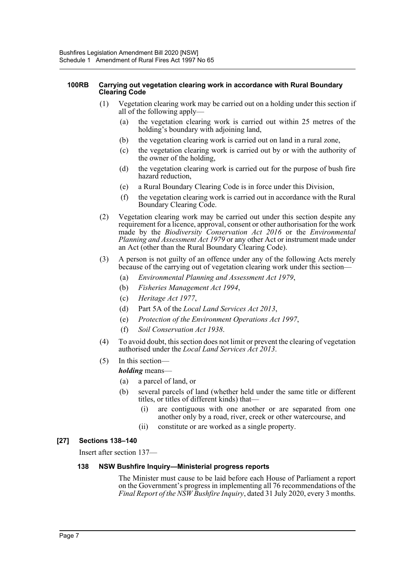#### **100RB Carrying out vegetation clearing work in accordance with Rural Boundary Clearing Code**

- (1) Vegetation clearing work may be carried out on a holding under this section if all of the following apply—
	- (a) the vegetation clearing work is carried out within 25 metres of the holding's boundary with adjoining land,
	- (b) the vegetation clearing work is carried out on land in a rural zone,
	- (c) the vegetation clearing work is carried out by or with the authority of the owner of the holding,
	- (d) the vegetation clearing work is carried out for the purpose of bush fire hazard reduction,
	- (e) a Rural Boundary Clearing Code is in force under this Division,
	- (f) the vegetation clearing work is carried out in accordance with the Rural Boundary Clearing Code.
- (2) Vegetation clearing work may be carried out under this section despite any requirement for a licence, approval, consent or other authorisation for the work made by the *Biodiversity Conservation Act 2016* or the *Environmental Planning and Assessment Act 1979* or any other Act or instrument made under an Act (other than the Rural Boundary Clearing Code).
- (3) A person is not guilty of an offence under any of the following Acts merely because of the carrying out of vegetation clearing work under this section—
	- (a) *Environmental Planning and Assessment Act 1979*,
	- (b) *Fisheries Management Act 1994*,
	- (c) *Heritage Act 1977*,
	- (d) Part 5A of the *Local Land Services Act 2013*,
	- (e) *Protection of the Environment Operations Act 1997*,
	- (f) *Soil Conservation Act 1938*.
- (4) To avoid doubt, this section does not limit or prevent the clearing of vegetation authorised under the *Local Land Services Act 2013*.
- (5) In this section—

*holding* means—

- (a) a parcel of land, or
- (b) several parcels of land (whether held under the same title or different titles, or titles of different kinds) that—
	- (i) are contiguous with one another or are separated from one another only by a road, river, creek or other watercourse, and
	- (ii) constitute or are worked as a single property.

#### **[27] Sections 138–140**

Insert after section 137—

#### **138 NSW Bushfire Inquiry—Ministerial progress reports**

The Minister must cause to be laid before each House of Parliament a report on the Government's progress in implementing all 76 recommendations of the *Final Report of the NSW Bushfire Inquiry*, dated 31 July 2020, every 3 months.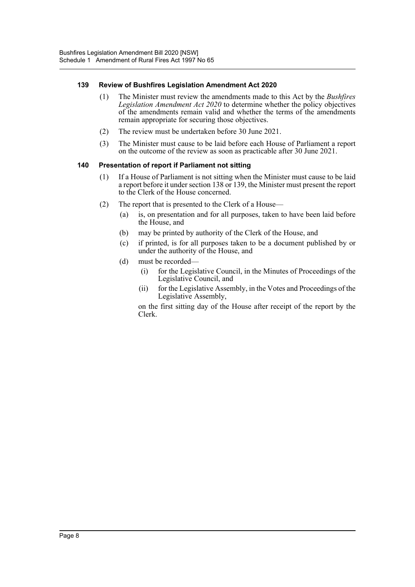#### **139 Review of Bushfires Legislation Amendment Act 2020**

- (1) The Minister must review the amendments made to this Act by the *Bushfires Legislation Amendment Act 2020* to determine whether the policy objectives of the amendments remain valid and whether the terms of the amendments remain appropriate for securing those objectives.
- (2) The review must be undertaken before 30 June 2021.
- (3) The Minister must cause to be laid before each House of Parliament a report on the outcome of the review as soon as practicable after 30 June 2021.

#### **140 Presentation of report if Parliament not sitting**

- (1) If a House of Parliament is not sitting when the Minister must cause to be laid a report before it under section 138 or 139, the Minister must present the report to the Clerk of the House concerned.
- (2) The report that is presented to the Clerk of a House—
	- (a) is, on presentation and for all purposes, taken to have been laid before the House, and
	- (b) may be printed by authority of the Clerk of the House, and
	- (c) if printed, is for all purposes taken to be a document published by or under the authority of the House, and
	- (d) must be recorded—
		- (i) for the Legislative Council, in the Minutes of Proceedings of the Legislative Council, and
		- (ii) for the Legislative Assembly, in the Votes and Proceedings of the Legislative Assembly,

on the first sitting day of the House after receipt of the report by the Clerk.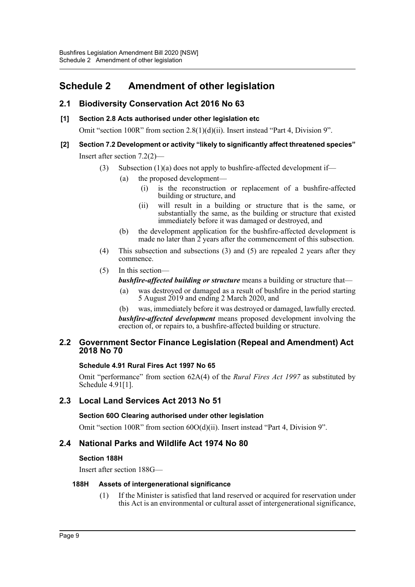# <span id="page-9-0"></span>**Schedule 2 Amendment of other legislation**

# **2.1 Biodiversity Conservation Act 2016 No 63**

#### **[1] Section 2.8 Acts authorised under other legislation etc**

Omit "section 100R" from section 2.8(1)(d)(ii). Insert instead "Part 4, Division 9".

## **[2] Section 7.2 Development or activity "likely to significantly affect threatened species"** Insert after section 7.2(2)—

- (3) Subsection  $(1)(a)$  does not apply to bushfire-affected development if—
	- (a) the proposed development—
		- (i) is the reconstruction or replacement of a bushfire-affected building or structure, and
		- (ii) will result in a building or structure that is the same, or substantially the same, as the building or structure that existed immediately before it was damaged or destroyed, and
	- (b) the development application for the bushfire-affected development is made no later than  $\tilde{2}$  years after the commencement of this subsection.
- (4) This subsection and subsections (3) and (5) are repealed 2 years after they commence.
- (5) In this section
	- *bushfire-affected building or structure* means a building or structure that—
	- (a) was destroyed or damaged as a result of bushfire in the period starting 5 August 2019 and ending 2 March 2020, and
	- (b) was, immediately before it was destroyed or damaged, lawfully erected.

*bushfire-affected development* means proposed development involving the erection of, or repairs to, a bushfire-affected building or structure.

#### **2.2 Government Sector Finance Legislation (Repeal and Amendment) Act 2018 No 70**

#### **Schedule 4.91 Rural Fires Act 1997 No 65**

Omit "performance" from section 62A(4) of the *Rural Fires Act 1997* as substituted by Schedule 4.91[1].

# **2.3 Local Land Services Act 2013 No 51**

#### **Section 60O Clearing authorised under other legislation**

Omit "section 100R" from section 60O(d)(ii). Insert instead "Part 4, Division 9".

### **2.4 National Parks and Wildlife Act 1974 No 80**

#### **Section 188H**

Insert after section 188G—

#### **188H Assets of intergenerational significance**

(1) If the Minister is satisfied that land reserved or acquired for reservation under this Act is an environmental or cultural asset of intergenerational significance,